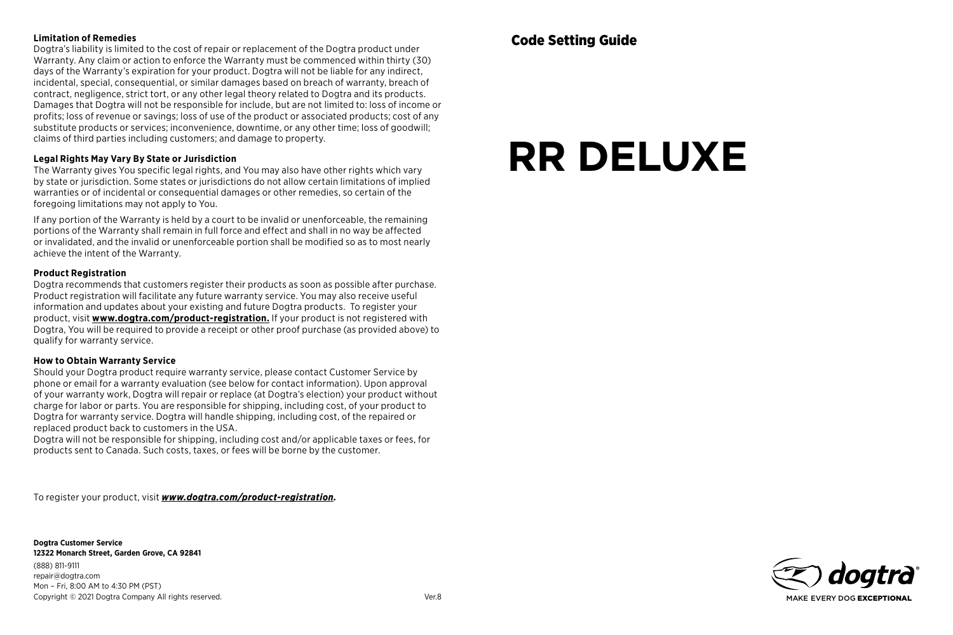#### **Limitation of Remedies**

Dogtra's liability is limited to the cost of repair or replacement of the Dogtra product under Warranty. Any claim or action to enforce the Warranty must be commenced within thirty (30) days of the Warranty's expiration for your product. Dogtra will not be liable for any indirect, incidental, special, consequential, or similar damages based on breach of warranty, breach of contract, negligence, strict tort, or any other legal theory related to Dogtra and its products. Damages that Dogtra will not be responsible for include, but are not limited to: loss of income or profits; loss of revenue or savings; loss of use of the product or associated products; cost of any substitute products or services; inconvenience, downtime, or any other time; loss of goodwill; claims of third parties including customers; and damage to property.

#### **Legal Rights May Vary By State or Jurisdiction**

The Warranty gives You specific legal rights, and You may also have other rights which vary by state or jurisdiction. Some states or jurisdictions do not allow certain limitations of implied warranties or of incidental or consequential damages or other remedies, so certain of the foregoing limitations may not apply to You.

If any portion of the Warranty is held by a court to be invalid or unenforceable, the remaining portions of the Warranty shall remain in full force and effect and shall in no way be affected or invalidated, and the invalid or unenforceable portion shall be modified so as to most nearly achieve the intent of the Warranty.

#### **Product Registration**

Dogtra recommends that customers register their products as soon as possible after purchase. Product registration will facilitate any future warranty service. You may also receive useful information and updates about your existing and future Dogtra products. To register your product, visit **www.dogtra.com/product-registration.** If your product is not registered with Dogtra, You will be required to provide a receipt or other proof purchase (as provided above) to qualify for warranty service.

#### **How to Obtain Warranty Service**

Should your Dogtra product require warranty service, please contact Customer Service by phone or email for a warranty evaluation (see below for contact information). Upon approval of your warranty work, Dogtra will repair or replace (at Dogtra's election) your product without charge for labor or parts. You are responsible for shipping, including cost, of your product to Dogtra for warranty service. Dogtra will handle shipping, including cost, of the repaired or replaced product back to customers in the USA.

Dogtra will not be responsible for shipping, including cost and/or applicable taxes or fees, for products sent to Canada. Such costs, taxes, or fees will be borne by the customer.

To register your product, visit *www.dogtra.com/product-registration.*

**Dogtra Customer Service 12322 Monarch Street, Garden Grove, CA 92841** (888) 811-9111 repair@dogtra.com Mon – Fri, 8:00 AM to 4:30 PM (PST) Copyright © 2021 Dogtra Company All rights reserved. Ver.8

# **RR DELUXE**